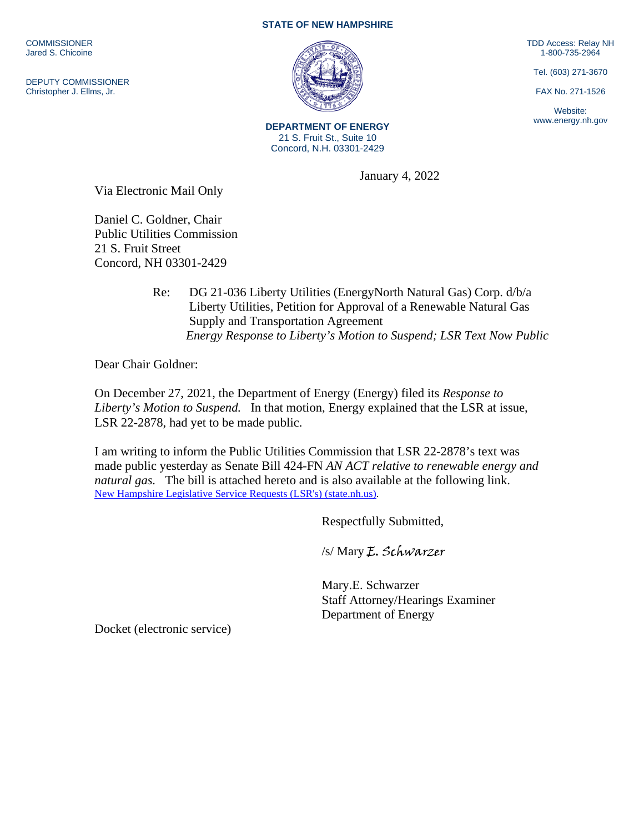**COMMISSIONER** Jared S. Chicoine

DEPUTY COMMISSIONER Christopher J. Ellms, Jr.

## **STATE OF NEW HAMPSHIRE**

TDD Access: Relay NH 1-800-735-2964

Tel. (603) 271-3670

FAX No. 271-1526

Website: www.energy.nh.gov

**DEPARTMENT OF ENERGY** 21 S. Fruit St., Suite 10 Concord, N.H. 03301-2429

January 4, 2022

Via Electronic Mail Only

Daniel C. Goldner, Chair Public Utilities Commission 21 S. Fruit Street Concord, NH 03301-2429

> Re: DG 21-036 Liberty Utilities (EnergyNorth Natural Gas) Corp. d/b/a Liberty Utilities, Petition for Approval of a Renewable Natural Gas Supply and Transportation Agreement  *Energy Response to Liberty's Motion to Suspend; LSR Text Now Public*

Dear Chair Goldner:

On December 27, 2021, the Department of Energy (Energy) filed its *Response to Liberty's Motion to Suspend.* In that motion, Energy explained that the LSR at issue, LSR 22-2878, had yet to be made public.

I am writing to inform the Public Utilities Commission that LSR 22-2878's text was made public yesterday as Senate Bill 424-FN *AN ACT relative to renewable energy and natural gas.* The bill is attached hereto and is also available at the following link. [New Hampshire Legislative Service Requests \(LSR's\) \(state.nh.us\).](http://www.gencourt.state.nh.us/lsr_search/billText.aspx?id=1971&type=3)

Respectfully Submitted,

/s/ Mary E. Schwarzer

Mary.E. Schwarzer Staff Attorney/Hearings Examiner Department of Energy

Docket (electronic service)